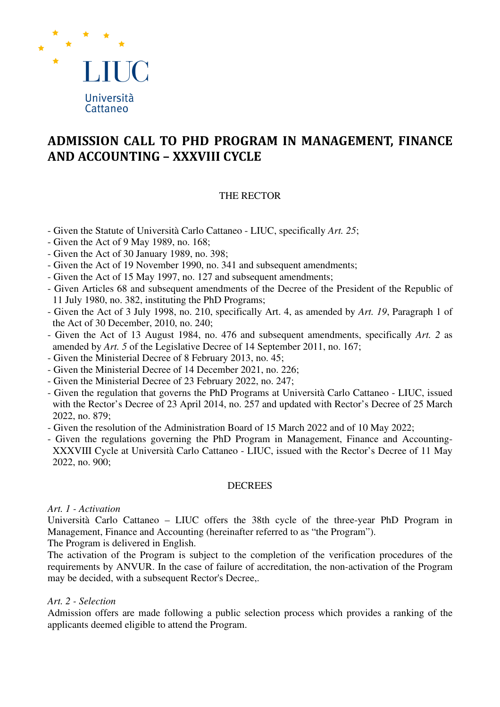

# **ADMISSION CALL TO PHD PROGRAM IN MANAGEMENT, FINANCE AND ACCOUNTING – XXXVIII CYCLE**

## THE RECTOR

- Given the Statute of Università Carlo Cattaneo LIUC, specifically *Art. 25*;
- Given the Act of 9 May 1989, no. 168;
- Given the Act of 30 January 1989, no. 398;
- Given the Act of 19 November 1990, no. 341 and subsequent amendments;
- Given the Act of 15 May 1997, no. 127 and subsequent amendments;
- Given Articles 68 and subsequent amendments of the Decree of the President of the Republic of 11 July 1980, no. 382, instituting the PhD Programs;
- Given the Act of 3 July 1998, no. 210, specifically Art. 4, as amended by *Art. 19*, Paragraph 1 of the Act of 30 December, 2010, no. 240;
- Given the Act of 13 August 1984, no. 476 and subsequent amendments, specifically *Art. 2* as amended by *Art. 5* of the Legislative Decree of 14 September 2011, no. 167;
- Given the Ministerial Decree of 8 February 2013, no. 45;
- Given the Ministerial Decree of 14 December 2021, no. 226;
- Given the Ministerial Decree of 23 February 2022, no. 247;
- Given the regulation that governs the PhD Programs at Università Carlo Cattaneo LIUC, issued with the Rector's Decree of 23 April 2014, no. 257 and updated with Rector's Decree of 25 March 2022, no. 879;
- Given the resolution of the Administration Board of 15 March 2022 and of 10 May 2022;
- Given the regulations governing the PhD Program in Management, Finance and Accounting-XXXVIII Cycle at Università Carlo Cattaneo - LIUC, issued with the Rector's Decree of 11 May 2022, no. 900;

## **DECREES**

## *Art. 1 - Activation*

Università Carlo Cattaneo – LIUC offers the 38th cycle of the three-year PhD Program in Management, Finance and Accounting (hereinafter referred to as "the Program").

The Program is delivered in English.

The activation of the Program is subject to the completion of the verification procedures of the requirements by ANVUR. In the case of failure of accreditation, the non-activation of the Program may be decided, with a subsequent Rector's Decree,.

## *Art. 2 - Selection*

Admission offers are made following a public selection process which provides a ranking of the applicants deemed eligible to attend the Program.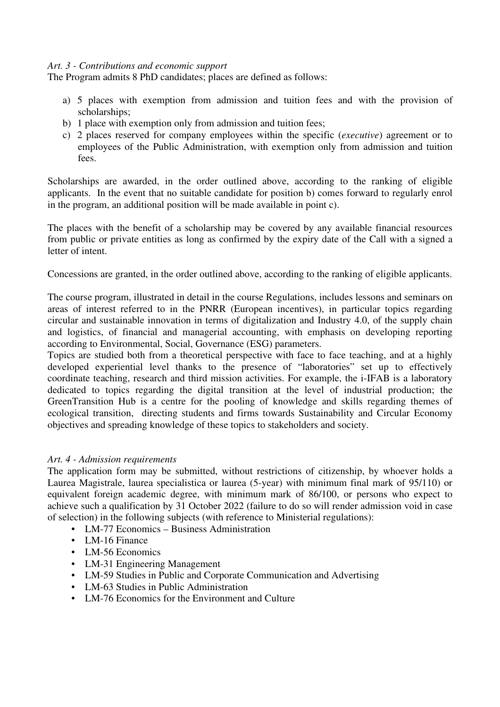## *Art. 3 - Contributions and economic support*

The Program admits 8 PhD candidates; places are defined as follows:

- a) 5 places with exemption from admission and tuition fees and with the provision of scholarships;
- b) 1 place with exemption only from admission and tuition fees;
- c) 2 places reserved for company employees within the specific (*executive*) agreement or to employees of the Public Administration, with exemption only from admission and tuition fees.

Scholarships are awarded, in the order outlined above, according to the ranking of eligible applicants. In the event that no suitable candidate for position b) comes forward to regularly enrol in the program, an additional position will be made available in point c).

The places with the benefit of a scholarship may be covered by any available financial resources from public or private entities as long as confirmed by the expiry date of the Call with a signed a letter of intent.

Concessions are granted, in the order outlined above, according to the ranking of eligible applicants.

The course program, illustrated in detail in the course Regulations, includes lessons and seminars on areas of interest referred to in the PNRR (European incentives), in particular topics regarding circular and sustainable innovation in terms of digitalization and Industry 4.0, of the supply chain and logistics, of financial and managerial accounting, with emphasis on developing reporting according to Environmental, Social, Governance (ESG) parameters.

Topics are studied both from a theoretical perspective with face to face teaching, and at a highly developed experiential level thanks to the presence of "laboratories" set up to effectively coordinate teaching, research and third mission activities. For example, the i-IFAB is a laboratory dedicated to topics regarding the digital transition at the level of industrial production; the GreenTransition Hub is a centre for the pooling of knowledge and skills regarding themes of ecological transition, directing students and firms towards Sustainability and Circular Economy objectives and spreading knowledge of these topics to stakeholders and society.

# *Art. 4 - Admission requirements*

The application form may be submitted, without restrictions of citizenship, by whoever holds a Laurea Magistrale, laurea specialistica or laurea (5-year) with minimum final mark of 95/110) or equivalent foreign academic degree, with minimum mark of 86/100, or persons who expect to achieve such a qualification by 31 October 2022 (failure to do so will render admission void in case of selection) in the following subjects (with reference to Ministerial regulations):

- LM-77 Economics Business Administration
- LM-16 Finance
- LM-56 Economics
- LM-31 Engineering Management
- LM-59 Studies in Public and Corporate Communication and Advertising
- LM-63 Studies in Public Administration
- LM-76 Economics for the Environment and Culture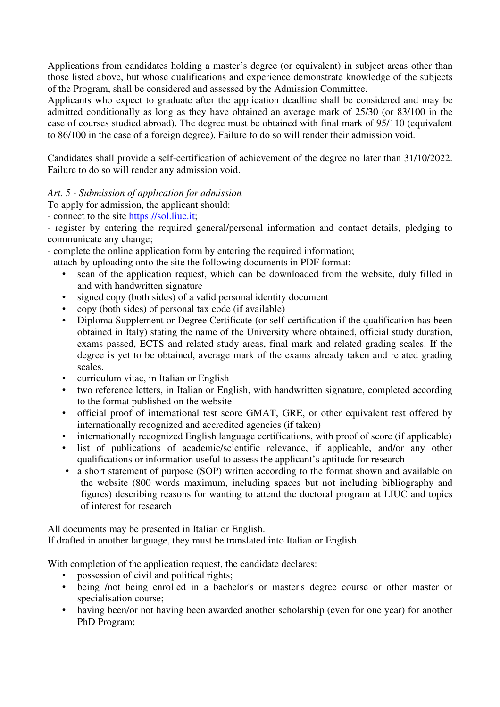Applications from candidates holding a master's degree (or equivalent) in subject areas other than those listed above, but whose qualifications and experience demonstrate knowledge of the subjects of the Program, shall be considered and assessed by the Admission Committee.

Applicants who expect to graduate after the application deadline shall be considered and may be admitted conditionally as long as they have obtained an average mark of 25/30 (or 83/100 in the case of courses studied abroad). The degree must be obtained with final mark of 95/110 (equivalent to 86/100 in the case of a foreign degree). Failure to do so will render their admission void.

Candidates shall provide a self-certification of achievement of the degree no later than 31/10/2022. Failure to do so will render any admission void.

*Art. 5 - Submission of application for admission* 

To apply for admission, the applicant should:

- connect to the site https://sol.liuc.it;

- register by entering the required general/personal information and contact details, pledging to communicate any change;

- complete the online application form by entering the required information;

- attach by uploading onto the site the following documents in PDF format:

- scan of the application request, which can be downloaded from the website, duly filled in and with handwritten signature
- signed copy (both sides) of a valid personal identity document
- copy (both sides) of personal tax code (if available)
- Diploma Supplement or Degree Certificate (or self-certification if the qualification has been obtained in Italy) stating the name of the University where obtained, official study duration, exams passed, ECTS and related study areas, final mark and related grading scales. If the degree is yet to be obtained, average mark of the exams already taken and related grading scales.
- curriculum vitae, in Italian or English
- two reference letters, in Italian or English, with handwritten signature, completed according to the format published on the website
- official proof of international test score GMAT, GRE, or other equivalent test offered by internationally recognized and accredited agencies (if taken)
- internationally recognized English language certifications, with proof of score (if applicable)
- list of publications of academic/scientific relevance, if applicable, and/or any other qualifications or information useful to assess the applicant's aptitude for research
- a short statement of purpose (SOP) written according to the format shown and available on the website (800 words maximum, including spaces but not including bibliography and figures) describing reasons for wanting to attend the doctoral program at LIUC and topics of interest for research

All documents may be presented in Italian or English.

If drafted in another language, they must be translated into Italian or English.

With completion of the application request, the candidate declares:

- possession of civil and political rights;
- being /not being enrolled in a bachelor's or master's degree course or other master or specialisation course;
- having been/or not having been awarded another scholarship (even for one year) for another PhD Program;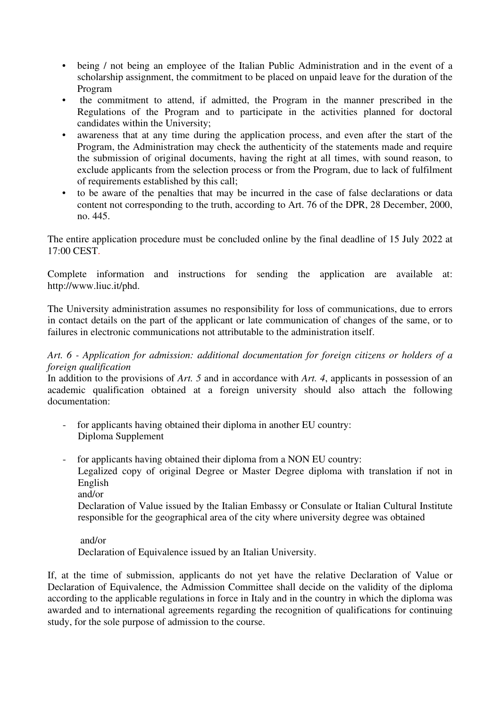- being / not being an employee of the Italian Public Administration and in the event of a scholarship assignment, the commitment to be placed on unpaid leave for the duration of the Program
- the commitment to attend, if admitted, the Program in the manner prescribed in the Regulations of the Program and to participate in the activities planned for doctoral candidates within the University;
- awareness that at any time during the application process, and even after the start of the Program, the Administration may check the authenticity of the statements made and require the submission of original documents, having the right at all times, with sound reason, to exclude applicants from the selection process or from the Program, due to lack of fulfilment of requirements established by this call;
- to be aware of the penalties that may be incurred in the case of false declarations or data content not corresponding to the truth, according to Art. 76 of the DPR, 28 December, 2000, no. 445.

The entire application procedure must be concluded online by the final deadline of 15 July 2022 at 17:00 CEST.

Complete information and instructions for sending the application are available at: http://www.liuc.it/phd.

The University administration assumes no responsibility for loss of communications, due to errors in contact details on the part of the applicant or late communication of changes of the same, or to failures in electronic communications not attributable to the administration itself.

*Art. 6 - Application for admission: additional documentation for foreign citizens or holders of a foreign qualification* 

In addition to the provisions of *Art.* 5 and in accordance with *Art.* 4, applicants in possession of an academic qualification obtained at a foreign university should also attach the following documentation:

- for applicants having obtained their diploma in another EU country: Diploma Supplement
- for applicants having obtained their diploma from a NON EU country:

Legalized copy of original Degree or Master Degree diploma with translation if not in English

and/or

Declaration of Value issued by the Italian Embassy or Consulate or Italian Cultural Institute responsible for the geographical area of the city where university degree was obtained

## and/or

Declaration of Equivalence issued by an Italian University.

If, at the time of submission, applicants do not yet have the relative Declaration of Value or Declaration of Equivalence, the Admission Committee shall decide on the validity of the diploma according to the applicable regulations in force in Italy and in the country in which the diploma was awarded and to international agreements regarding the recognition of qualifications for continuing study, for the sole purpose of admission to the course.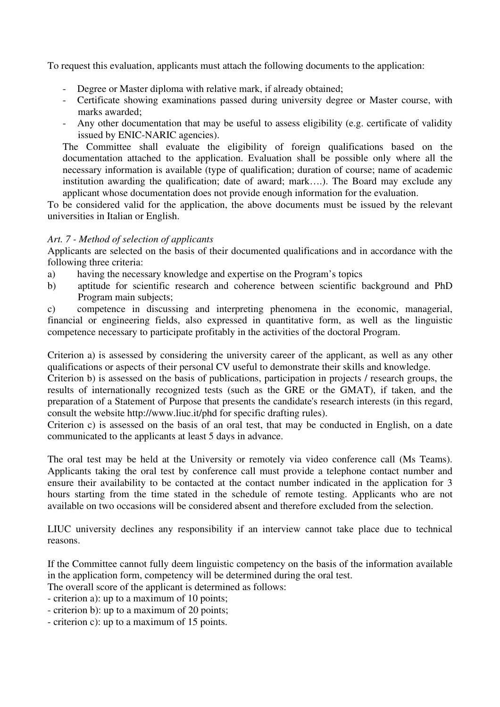To request this evaluation, applicants must attach the following documents to the application:

- Degree or Master diploma with relative mark, if already obtained;
- Certificate showing examinations passed during university degree or Master course, with marks awarded;
- Any other documentation that may be useful to assess eligibility (e.g. certificate of validity issued by ENIC-NARIC agencies).

The Committee shall evaluate the eligibility of foreign qualifications based on the documentation attached to the application. Evaluation shall be possible only where all the necessary information is available (type of qualification; duration of course; name of academic institution awarding the qualification; date of award; mark….). The Board may exclude any applicant whose documentation does not provide enough information for the evaluation.

To be considered valid for the application, the above documents must be issued by the relevant universities in Italian or English.

## *Art. 7 - Method of selection of applicants*

Applicants are selected on the basis of their documented qualifications and in accordance with the following three criteria:

- a) having the necessary knowledge and expertise on the Program's topics
- b) aptitude for scientific research and coherence between scientific background and PhD Program main subjects;

c) competence in discussing and interpreting phenomena in the economic, managerial, financial or engineering fields, also expressed in quantitative form, as well as the linguistic competence necessary to participate profitably in the activities of the doctoral Program.

Criterion a) is assessed by considering the university career of the applicant, as well as any other qualifications or aspects of their personal CV useful to demonstrate their skills and knowledge.

Criterion b) is assessed on the basis of publications, participation in projects / research groups, the results of internationally recognized tests (such as the GRE or the GMAT), if taken, and the preparation of a Statement of Purpose that presents the candidate's research interests (in this regard, consult the website http://www.liuc.it/phd for specific drafting rules).

Criterion c) is assessed on the basis of an oral test, that may be conducted in English, on a date communicated to the applicants at least 5 days in advance.

The oral test may be held at the University or remotely via video conference call (Ms Teams). Applicants taking the oral test by conference call must provide a telephone contact number and ensure their availability to be contacted at the contact number indicated in the application for 3 hours starting from the time stated in the schedule of remote testing. Applicants who are not available on two occasions will be considered absent and therefore excluded from the selection.

LIUC university declines any responsibility if an interview cannot take place due to technical reasons.

If the Committee cannot fully deem linguistic competency on the basis of the information available in the application form, competency will be determined during the oral test.

The overall score of the applicant is determined as follows:

- criterion a): up to a maximum of 10 points;

- criterion b): up to a maximum of 20 points;
- criterion c): up to a maximum of 15 points.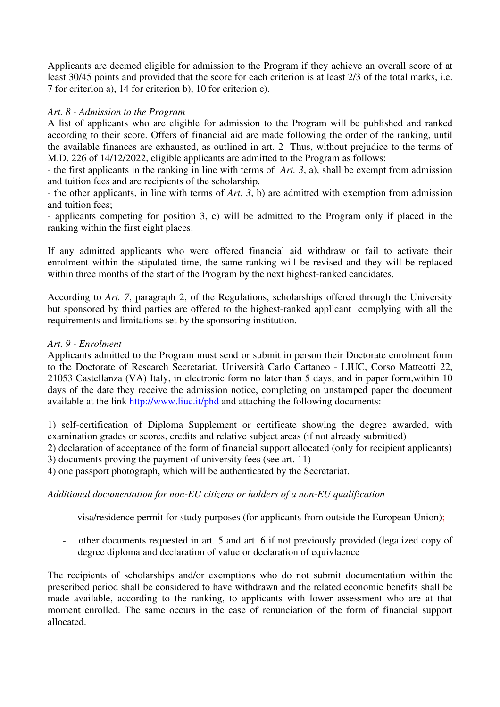Applicants are deemed eligible for admission to the Program if they achieve an overall score of at least 30/45 points and provided that the score for each criterion is at least 2/3 of the total marks, i.e. 7 for criterion a), 14 for criterion b), 10 for criterion c).

## *Art. 8 - Admission to the Program*

A list of applicants who are eligible for admission to the Program will be published and ranked according to their score. Offers of financial aid are made following the order of the ranking, until the available finances are exhausted, as outlined in art. 2 Thus, without prejudice to the terms of M.D. 226 of 14/12/2022, eligible applicants are admitted to the Program as follows:

- the first applicants in the ranking in line with terms of *Art. 3*, a), shall be exempt from admission and tuition fees and are recipients of the scholarship.

- the other applicants, in line with terms of *Art. 3*, b) are admitted with exemption from admission and tuition fees;

- applicants competing for position 3, c) will be admitted to the Program only if placed in the ranking within the first eight places.

If any admitted applicants who were offered financial aid withdraw or fail to activate their enrolment within the stipulated time, the same ranking will be revised and they will be replaced within three months of the start of the Program by the next highest-ranked candidates.

According to *Art. 7*, paragraph 2, of the Regulations, scholarships offered through the University but sponsored by third parties are offered to the highest-ranked applicant complying with all the requirements and limitations set by the sponsoring institution.

## *Art. 9 - Enrolment*

Applicants admitted to the Program must send or submit in person their Doctorate enrolment form to the Doctorate of Research Secretariat, Università Carlo Cattaneo - LIUC, Corso Matteotti 22, 21053 Castellanza (VA) Italy, in electronic form no later than 5 days, and in paper form,within 10 days of the date they receive the admission notice, completing on unstamped paper the document available at the link http://www.liuc.it/phd and attaching the following documents:

1) self-certification of Diploma Supplement or certificate showing the degree awarded, with examination grades or scores, credits and relative subject areas (if not already submitted)

2) declaration of acceptance of the form of financial support allocated (only for recipient applicants) 3) documents proving the payment of university fees (see art. 11)

4) one passport photograph, which will be authenticated by the Secretariat.

## *Additional documentation for non-EU citizens or holders of a non-EU qualification*

- visa/residence permit for study purposes (for applicants from outside the European Union);
- other documents requested in art. 5 and art. 6 if not previously provided (legalized copy of degree diploma and declaration of value or declaration of equivlaence

The recipients of scholarships and/or exemptions who do not submit documentation within the prescribed period shall be considered to have withdrawn and the related economic benefits shall be made available, according to the ranking, to applicants with lower assessment who are at that moment enrolled. The same occurs in the case of renunciation of the form of financial support allocated.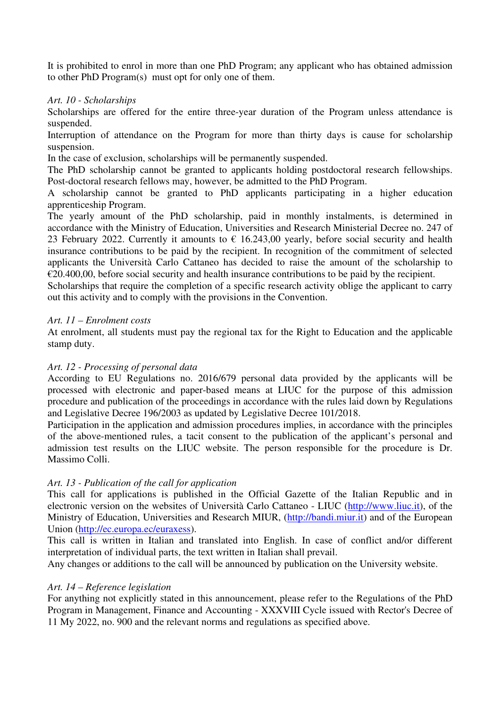It is prohibited to enrol in more than one PhD Program; any applicant who has obtained admission to other PhD Program(s) must opt for only one of them.

## *Art. 10 - Scholarships*

Scholarships are offered for the entire three-year duration of the Program unless attendance is suspended.

Interruption of attendance on the Program for more than thirty days is cause for scholarship suspension.

In the case of exclusion, scholarships will be permanently suspended.

The PhD scholarship cannot be granted to applicants holding postdoctoral research fellowships. Post-doctoral research fellows may, however, be admitted to the PhD Program.

A scholarship cannot be granted to PhD applicants participating in a higher education apprenticeship Program.

The yearly amount of the PhD scholarship, paid in monthly instalments, is determined in accordance with the Ministry of Education, Universities and Research Ministerial Decree no. 247 of 23 February 2022. Currently it amounts to  $\epsilon$  16.243,00 yearly, before social security and health insurance contributions to be paid by the recipient. In recognition of the commitment of selected applicants the Università Carlo Cattaneo has decided to raise the amount of the scholarship to  $\epsilon$ 20.400,00, before social security and health insurance contributions to be paid by the recipient.

Scholarships that require the completion of a specific research activity oblige the applicant to carry out this activity and to comply with the provisions in the Convention.

## *Art. 11 – Enrolment costs*

At enrolment, all students must pay the regional tax for the Right to Education and the applicable stamp duty.

# *Art. 12 - Processing of personal data*

According to EU Regulations no. 2016/679 personal data provided by the applicants will be processed with electronic and paper-based means at LIUC for the purpose of this admission procedure and publication of the proceedings in accordance with the rules laid down by Regulations and Legislative Decree 196/2003 as updated by Legislative Decree 101/2018.

Participation in the application and admission procedures implies, in accordance with the principles of the above-mentioned rules, a tacit consent to the publication of the applicant's personal and admission test results on the LIUC website. The person responsible for the procedure is Dr. Massimo Colli.

# *Art. 13 - Publication of the call for application*

This call for applications is published in the Official Gazette of the Italian Republic and in electronic version on the websites of Università Carlo Cattaneo - LIUC (http://www.liuc.it), of the Ministry of Education, Universities and Research MIUR, (http://bandi.miur.it) and of the European Union (http://ec.europa.ec/euraxess).

This call is written in Italian and translated into English. In case of conflict and/or different interpretation of individual parts, the text written in Italian shall prevail.

Any changes or additions to the call will be announced by publication on the University website.

## *Art. 14 – Reference legislation*

For anything not explicitly stated in this announcement, please refer to the Regulations of the PhD Program in Management, Finance and Accounting - XXXVIII Cycle issued with Rector's Decree of 11 My 2022, no. 900 and the relevant norms and regulations as specified above.